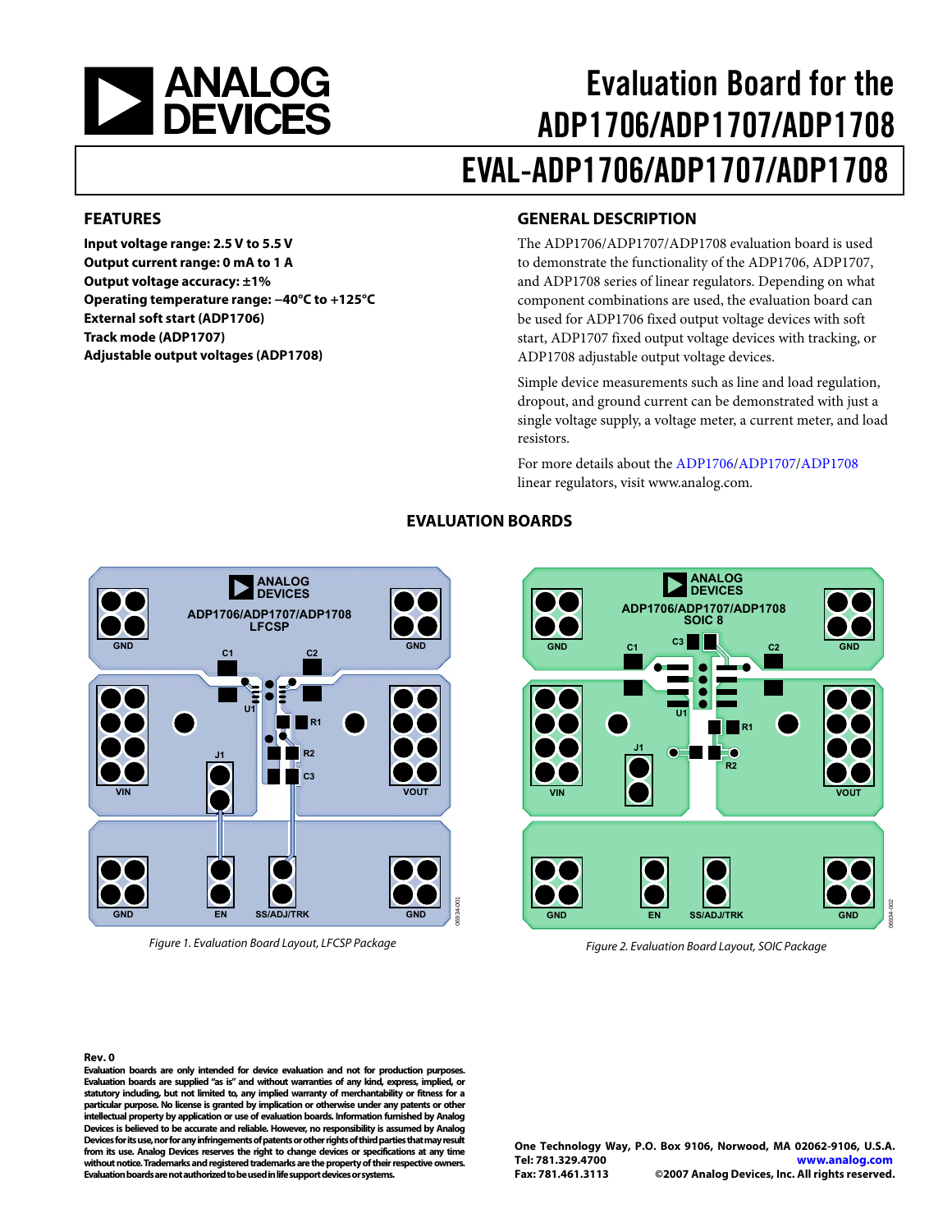<span id="page-0-0"></span>

# Evaluation Board for the ADP1706/ADP1707/ADP1708 EVAL-ADP1706/ADP1707/ADP1708

### **FEATURES**

**Input voltage range: 2.5 V to 5.5 V Output current range: 0 mA to 1 A Output voltage accuracy: ±1% Operating temperature range: −40°C to +125°C External soft start (ADP1706) Track mode (ADP1707) Adjustable output voltages (ADP1708)** 

### **GENERAL DESCRIPTION**

The ADP1706/ADP1707/ADP1708 evaluation board is used to demonstrate the functionality of the ADP1706, ADP1707, and ADP1708 series of linear regulators. Depending on what component combinations are used, the evaluation board can be used for ADP1706 fixed output voltage devices with soft start, ADP1707 fixed output voltage devices with tracking, or ADP1708 adjustable output voltage devices.

Simple device measurements such as line and load regulation, dropout, and ground current can be demonstrated with just a single voltage supply, a voltage meter, a current meter, and load resistors.

For more details about the [ADP1706](http://www.analog.com/ADP1706)[/ADP1707](http://www.analog.com/ADP1707)[/ADP1708](http://www.analog.com/ADP1708) linear regulators, visit [www.analog.com](http://www.analog.com/).



**EVALUATION BOARDS** 



Figure 2. Evaluation Board Layout, SOIC Package

06934-002

#### **Rev. 0**

**Evaluation boards are only intended for device evaluation and not for production purposes. Evaluation boards are supplied "as is" and without warranties of any kind, express, implied, or statutory including, but not limited to, any implied warranty of merchantability or fitness for a particular purpose. No license is granted by implication or otherwise under any patents or other intellectual property by application or use of evaluation boards. Information furnished by Analog Devices is believed to be accurate and reliable. However, no responsibility is assumed by Analog Devices for its use, nor for any infringements of patents or other rights of third parties that may result from its use. Analog Devices reserves the right to change devices or specifications at any time without notice. Trademarks and registered trademarks are the property of their respective owners. Evaluation boards are not authorized to be used in life support devices or systems.** 

Figure 1. Evaluation Board Layout, LFCSP Package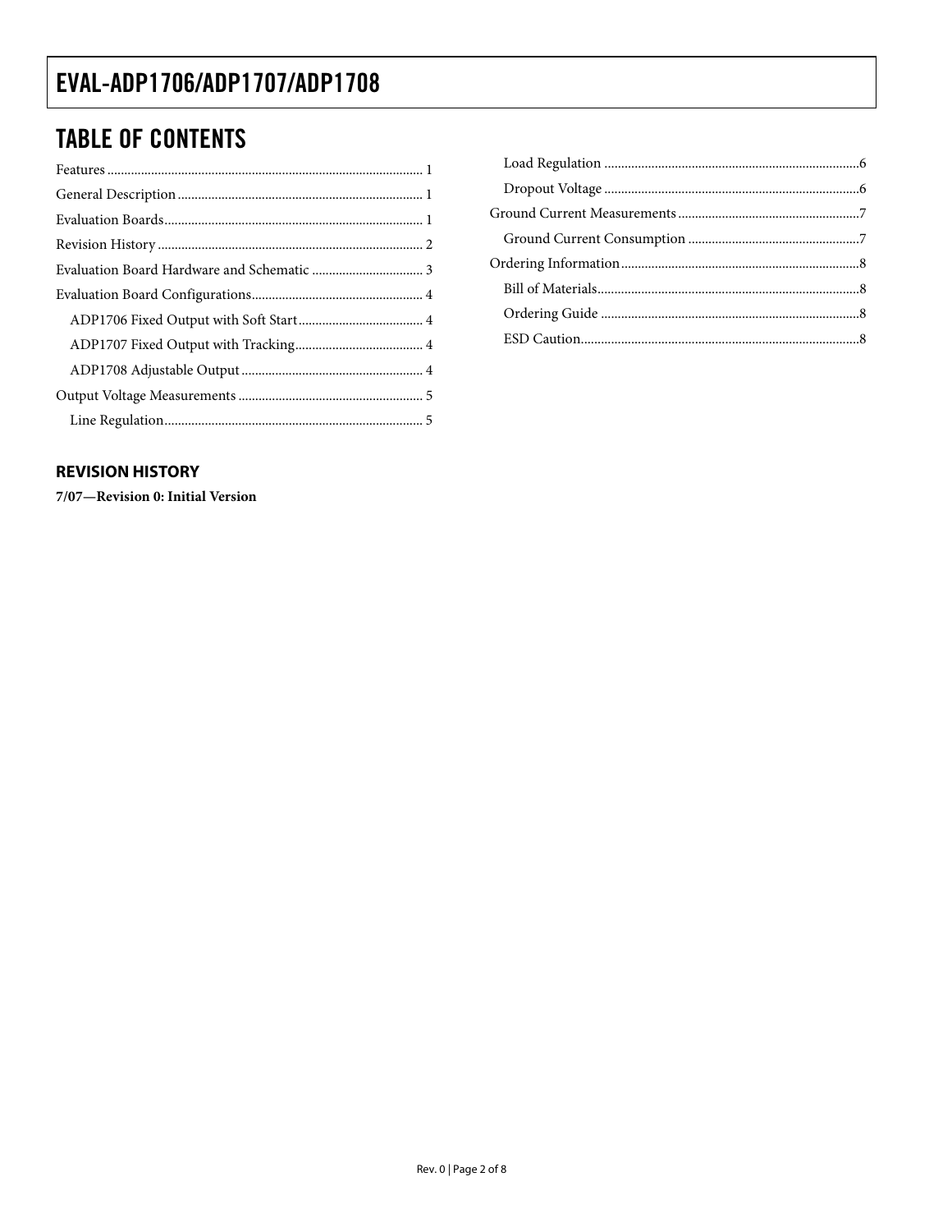# <span id="page-1-0"></span>**TABLE OF CONTENTS**

### **REVISION HISTORY**

7/07-Revision 0: Initial Version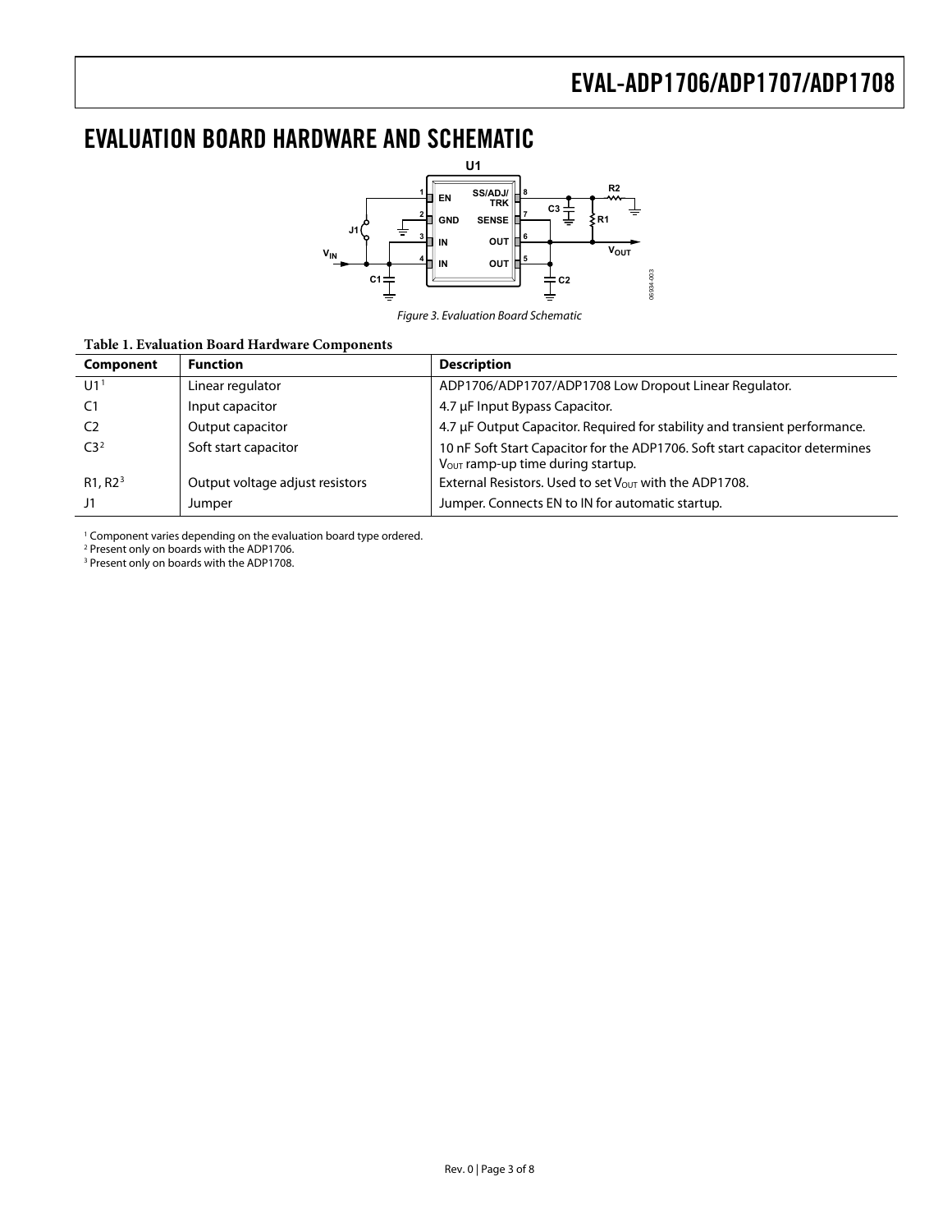# <span id="page-2-0"></span>EVALUATION BOARD HARDWARE AND SCHEMATIC



Figure 3. Evaluation Board Schematic

#### **Table 1. Evaluation Board Hardware Components**

| Component           | <b>Function</b>                 | <b>Description</b>                                                                                               |
|---------------------|---------------------------------|------------------------------------------------------------------------------------------------------------------|
| U1 <sup>1</sup>     | Linear regulator                | ADP1706/ADP1707/ADP1708 Low Dropout Linear Regulator.                                                            |
| C1                  | Input capacitor                 | 4.7 µF Input Bypass Capacitor.                                                                                   |
| C)                  | Output capacitor                | 4.7 µF Output Capacitor. Required for stability and transient performance.                                       |
| C3 <sup>2</sup>     | Soft start capacitor            | 10 nF Soft Start Capacitor for the ADP1706. Soft start capacitor determines<br>Vout ramp-up time during startup. |
| R1, R2 <sup>3</sup> | Output voltage adjust resistors | External Resistors. Used to set $V_{\text{OUT}}$ with the ADP1708.                                               |
| J1                  | Jumper                          | Jumper. Connects EN to IN for automatic startup.                                                                 |

<sup>1</sup> Component varies depending on the evaluation board type ordered.<br><sup>2</sup> Present only on boards with the ADP1706.

<sup>3</sup> Present only on boards with the ADP1708.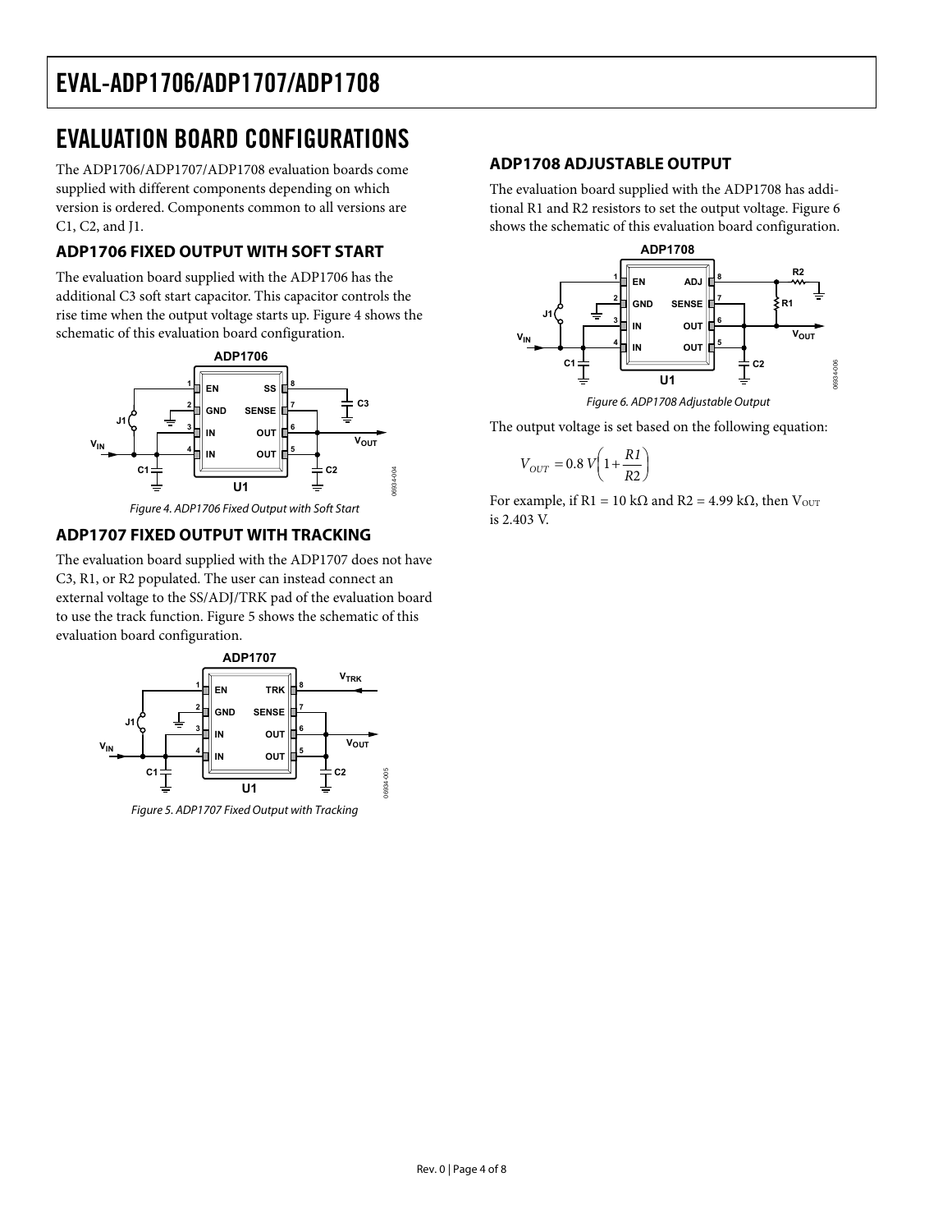# <span id="page-3-0"></span>EVALUATION BOARD CONFIGURATIONS

The ADP1706/ADP1707/ADP1708 evaluation boards come supplied with different components depending on which version is ordered. Components common to all versions are C1, C2, and J1.

### **ADP1706 FIXED OUTPUT WITH SOFT START**

The evaluation board supplied with the ADP1706 has the additional C3 soft start capacitor. This capacitor controls the rise time when the output voltage starts up. [Figure 4](#page-3-1) shows the schematic of this evaluation board configuration.

<span id="page-3-3"></span>

Figure 4. ADP1706 Fixed Output with Soft Start

### <span id="page-3-1"></span>**ADP1707 FIXED OUTPUT WITH TRACKING**

The evaluation board supplied with the ADP1707 does not have C3, R1, or R2 populated. The user can instead connect an external voltage to the SS/ADJ/TRK pad of the evaluation board to use the track function. [Figure 5](#page-3-2) shows the schematic of this evaluation board configuration.



<span id="page-3-2"></span>Figure 5. ADP1707 Fixed Output with Tracking

### **ADP1708 ADJUSTABLE OUTPUT**

The evaluation board supplied with the ADP1708 has additional R1 and R2 resistors to set the output voltage. [Figure 6](#page-3-3) shows the schematic of this evaluation board configuration.



The output voltage is set based on the following equation:

$$
V_{OUT} = 0.8 V \left( 1 + \frac{R1}{R2} \right)
$$

For example, if R1 = 10 k $\Omega$  and R2 = 4.99 k $\Omega$ , then  $V_{\text{OUT}}$ is 2.403 V.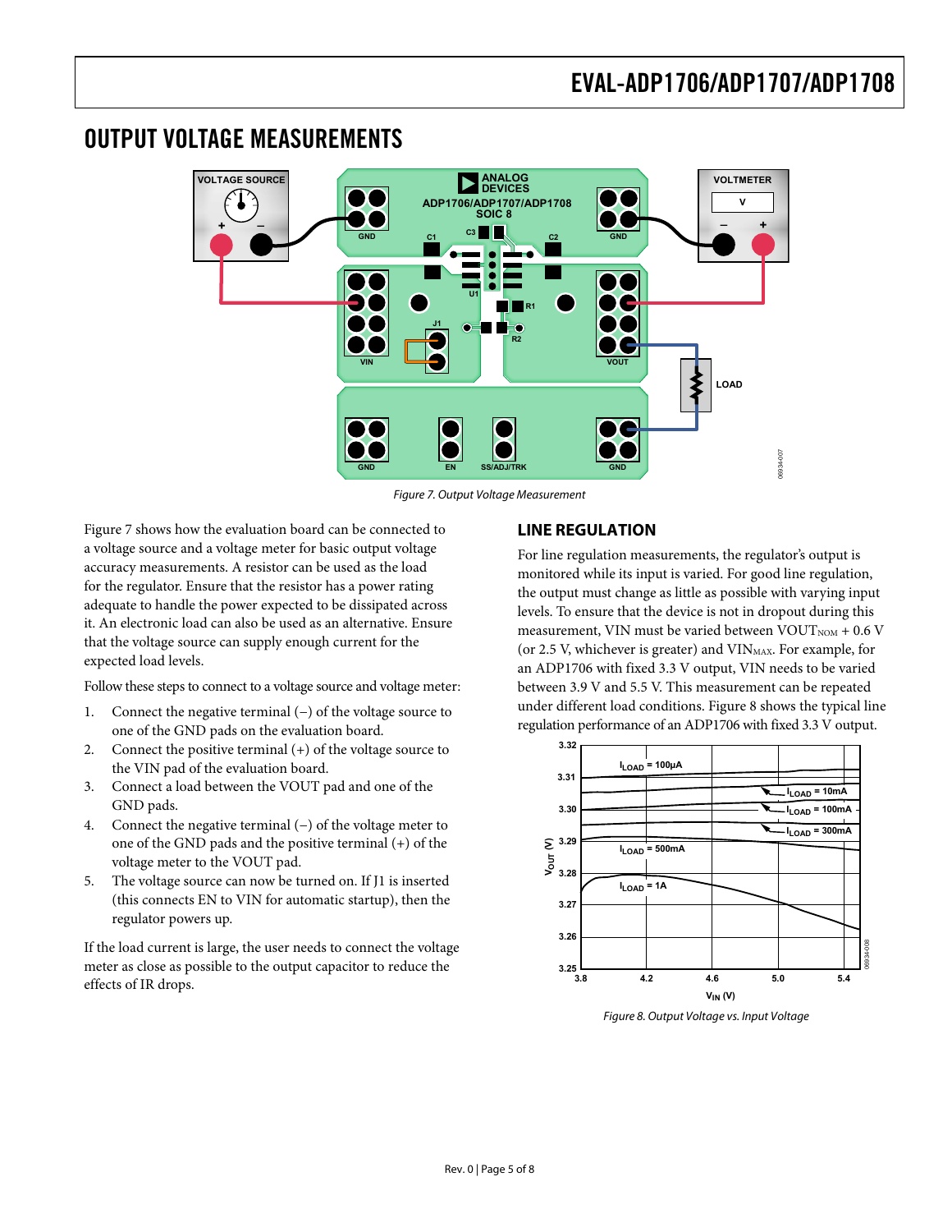### <span id="page-4-0"></span>OUTPUT VOLTAGE MEASUREMENTS



Figure 7. Output Voltage Measurement

<span id="page-4-1"></span>[Figure 7](#page-4-1) shows how the evaluation board can be connected to a voltage source and a voltage meter for basic output voltage accuracy measurements. A resistor can be used as the load for the regulator. Ensure that the resistor has a power rating adequate to handle the power expected to be dissipated across it. An electronic load can also be used as an alternative. Ensure that the voltage source can supply enough current for the expected load levels.

Follow these steps to connect to a voltage source and voltage meter:

- 1. Connect the negative terminal (−) of the voltage source to one of the GND pads on the evaluation board.
- 2. Connect the positive terminal (+) of the voltage source to the VIN pad of the evaluation board.
- 3. Connect a load between the VOUT pad and one of the GND pads.
- 4. Connect the negative terminal (−) of the voltage meter to one of the GND pads and the positive terminal (+) of the voltage meter to the VOUT pad.
- 5. The voltage source can now be turned on. If J1 is inserted (this connects EN to VIN for automatic startup), then the regulator powers up.

<span id="page-4-2"></span>If the load current is large, the user needs to connect the voltage meter as close as possible to the output capacitor to reduce the effects of IR drops.

### **LINE REGULATION**

For line regulation measurements, the regulator's output is monitored while its input is varied. For good line regulation, the output must change as little as possible with varying input levels. To ensure that the device is not in dropout during this measurement, VIN must be varied between  $VOUT<sub>NOM</sub> + 0.6 V$ (or 2.5 V, whichever is greater) and  $VIN<sub>MAX</sub>$ . For example, for an [ADP1706 w](http://www.analog.com/ADP1712)ith fixed 3.3 V output, VIN needs to be varied between 3.9 V and 5.5 V. This measurement can be repeated under different load conditions. [Figure 8](#page-4-2) shows the typical line regulation performance of an ADP1706 with fixed 3.3 V output.



Figure 8. Output Voltage vs. Input Voltage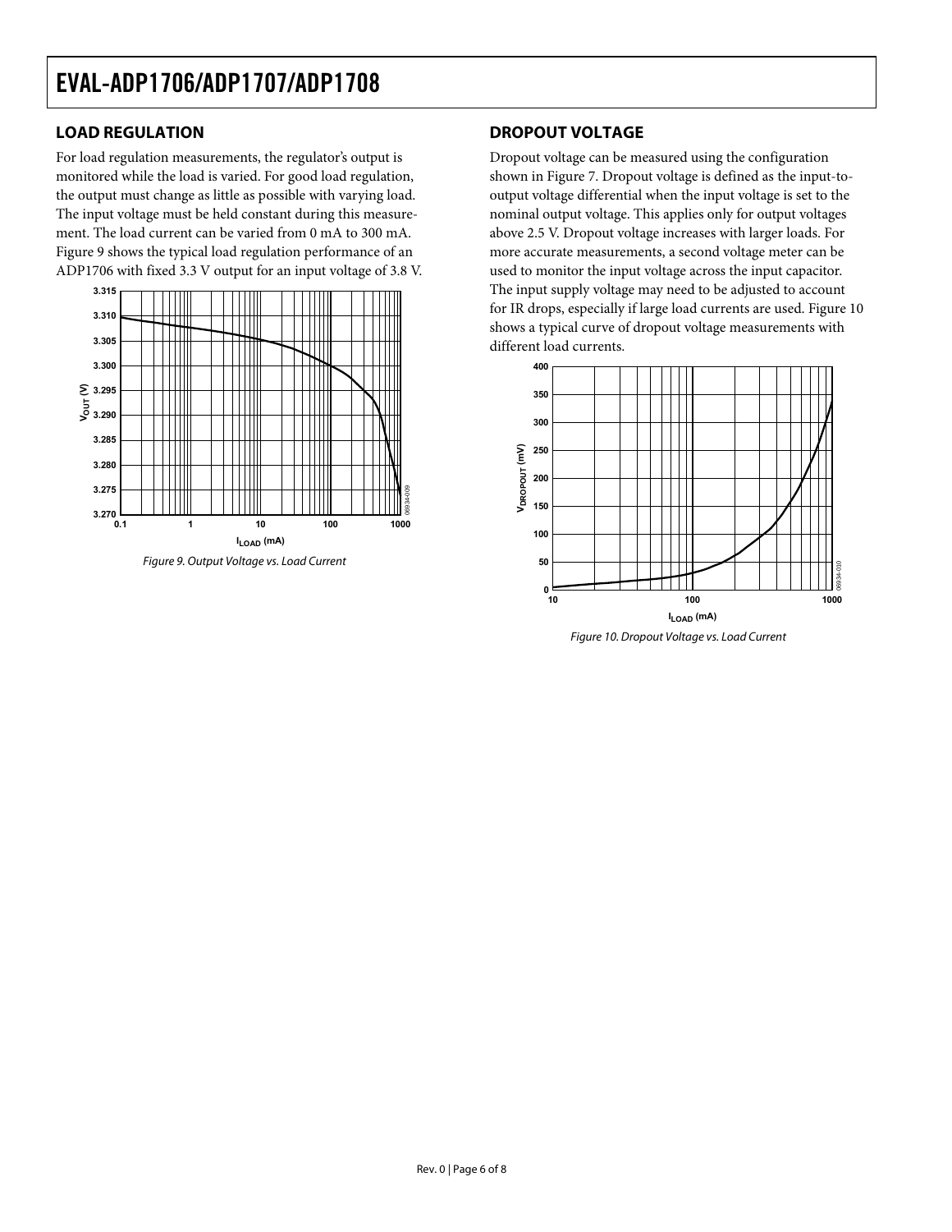### <span id="page-5-0"></span>**LOAD REGULATION**

For load regulation measurements, the regulator's output is monitored while the load is varied. For good load regulation, the output must change as little as possible with varying load. The input voltage must be held constant during this measurement. The load current can be varied from 0 mA to 300 mA. [Figure 9](#page-5-1) shows the typical load regulation performance of an ADP1706 with fixed 3.3 V output for an input voltage of 3.8 V.



<span id="page-5-2"></span><span id="page-5-1"></span>Figure 9. Output Voltage vs. Load Current

### **DROPOUT VOLTAGE**

Dropout voltage can be measured using the configuration shown in [Figure 7](#page-4-1). Dropout voltage is defined as the input-tooutput voltage differential when the input voltage is set to the nominal output voltage. This applies only for output voltages above 2.5 V. Dropout voltage increases with larger loads. For more accurate measurements, a second voltage meter can be used to monitor the input voltage across the input capacitor. The input supply voltage may need to be adjusted to account for IR drops, especially if large load currents are used. [Figure 10](#page-5-2) shows a typical curve of dropout voltage measurements with different load currents.



Figure 10. Dropout Voltage vs. Load Current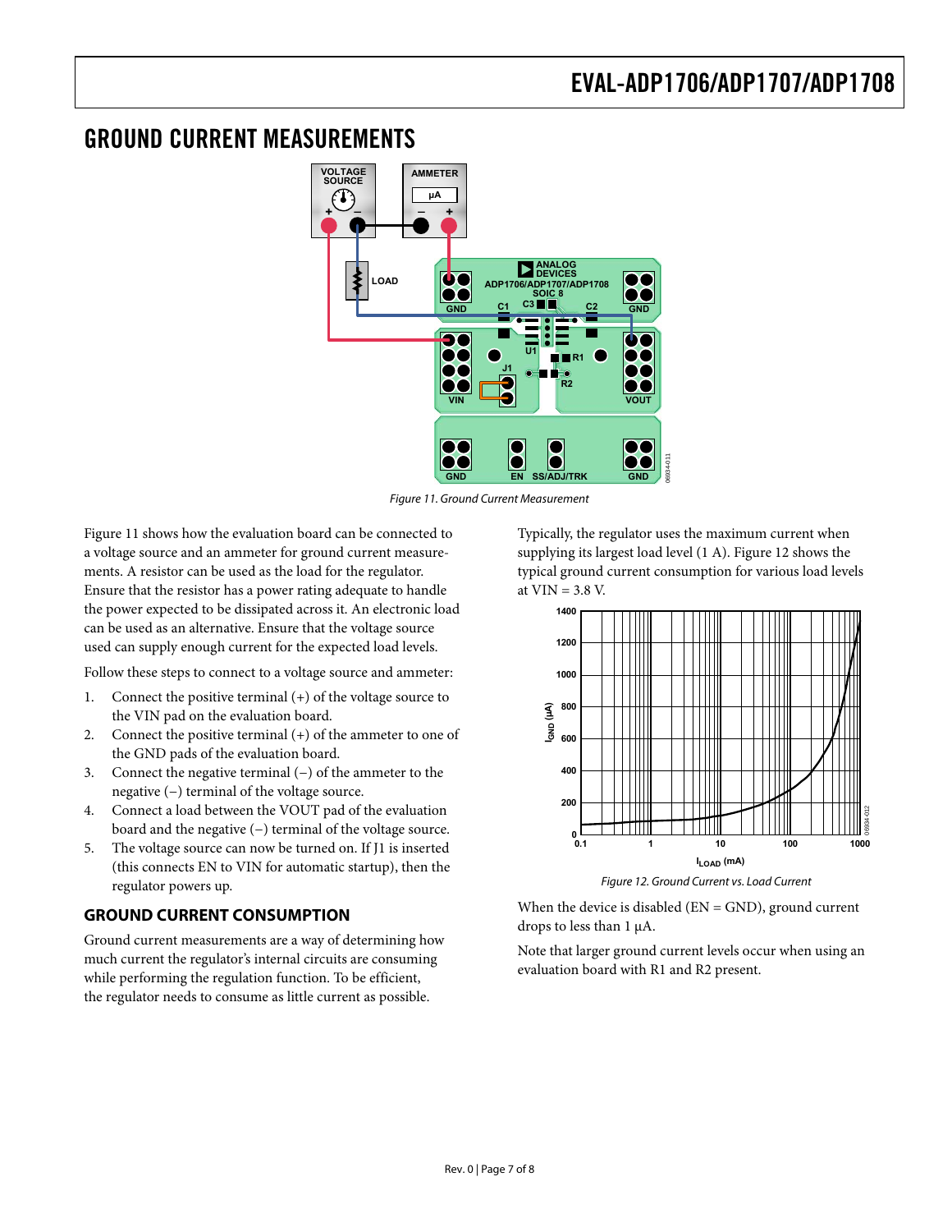### <span id="page-6-1"></span><span id="page-6-0"></span>GROUND CURRENT MEASUREMENTS



Figure 11. Ground Current Measurement

<span id="page-6-2"></span>[Figure 11](#page-6-2) shows how the evaluation board can be connected to a voltage source and an ammeter for ground current measurements. A resistor can be used as the load for the regulator. Ensure that the resistor has a power rating adequate to handle the power expected to be dissipated across it. An electronic load can be used as an alternative. Ensure that the voltage source used can supply enough current for the expected load levels.

Follow these steps to connect to a voltage source and ammeter:

- 1. Connect the positive terminal (+) of the voltage source to the VIN pad on the evaluation board.
- 2. Connect the positive terminal (+) of the ammeter to one of the GND pads of the evaluation board.
- 3. Connect the negative terminal (−) of the ammeter to the negative (−) terminal of the voltage source.
- 4. Connect a load between the VOUT pad of the evaluation board and the negative (−) terminal of the voltage source.
- 5. The voltage source can now be turned on. If J1 is inserted (this connects EN to VIN for automatic startup), then the regulator powers up.

### <span id="page-6-3"></span>**GROUND CURRENT CONSUMPTION**

Ground current measurements are a way of determining how much current the regulator's internal circuits are consuming while performing the regulation function. To be efficient, the regulator needs to consume as little current as possible.

Typically, the regulator uses the maximum current when supplying its largest load level (1 A). [Figure 12](#page-6-3) shows the typical ground current consumption for various load levels at  $VIN = 3.8 V$ .



Figure 12. Ground Current vs. Load Current

When the device is disabled (EN = GND), ground current drops to less than 1 μA.

Note that larger ground current levels occur when using an evaluation board with R1 and R2 present.